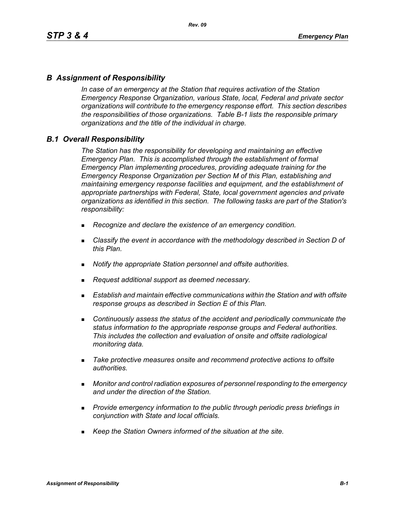### *B Assignment of Responsibility*

*In case of an emergency at the Station that requires activation of the Station Emergency Response Organization, various State, local, Federal and private sector organizations will contribute to the emergency response effort. This section describes the responsibilities of those organizations. Table B-1 lists the responsible primary organizations and the title of the individual in charge.*

### *B.1 Overall Responsibility*

*The Station has the responsibility for developing and maintaining an effective Emergency Plan. This is accomplished through the establishment of formal Emergency Plan implementing procedures, providing adequate training for the Emergency Response Organization per Section M of this Plan, establishing and maintaining emergency response facilities and equipment, and the establishment of appropriate partnerships with Federal, State, local government agencies and private organizations as identified in this section. The following tasks are part of the Station's responsibility:*

- *Recognize and declare the existence of an emergency condition.*
- *Classify the event in accordance with the methodology described in Section D of this Plan.*
- *Notify the appropriate Station personnel and offsite authorities.*
- *Request additional support as deemed necessary.*
- **Establish and maintain effective communications within the Station and with offsite** *response groups as described in Section E of this Plan.*
- *Continuously assess the status of the accident and periodically communicate the status information to the appropriate response groups and Federal authorities. This includes the collection and evaluation of onsite and offsite radiological monitoring data.*
- *Take protective measures onsite and recommend protective actions to offsite authorities.*
- *Monitor and control radiation exposures of personnel responding to the emergency and under the direction of the Station.*
- *Provide emergency information to the public through periodic press briefings in conjunction with State and local officials.*
- *Keep the Station Owners informed of the situation at the site.*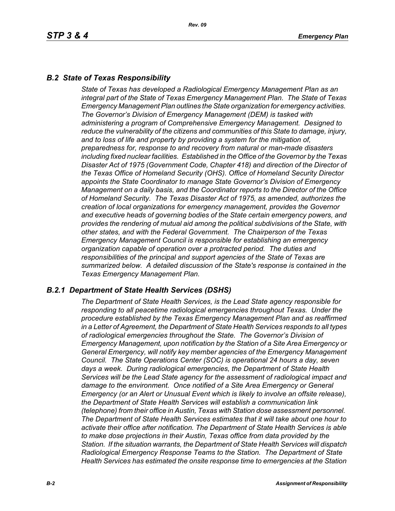# *B.2 State of Texas Responsibility*

*State of Texas has developed a Radiological Emergency Management Plan as an integral part of the State of Texas Emergency Management Plan. The State of Texas Emergency Management Plan outlines the State organization for emergency activities. The Governor's Division of Emergency Management (DEM) is tasked with administering a program of Comprehensive Emergency Management. Designed to reduce the vulnerability of the citizens and communities of this State to damage, injury, and to loss of life and property by providing a system for the mitigation of, preparedness for, response to and recovery from natural or man-made disasters including fixed nuclear facilities. Established in the Office of the Governor by the Texas Disaster Act of 1975 (Government Code, Chapter 418) and direction of the Director of the Texas Office of Homeland Security (OHS). Office of Homeland Security Director appoints the State Coordinator to manage State Governor's Division of Emergency Management on a daily basis, and the Coordinator reports to the Director of the Office of Homeland Security. The Texas Disaster Act of 1975, as amended, authorizes the creation of local organizations for emergency management, provides the Governor and executive heads of governing bodies of the State certain emergency powers, and provides the rendering of mutual aid among the political subdivisions of the State, with other states, and with the Federal Government. The Chairperson of the Texas Emergency Management Council is responsible for establishing an emergency organization capable of operation over a protracted period. The duties and responsibilities of the principal and support agencies of the State of Texas are summarized below. A detailed discussion of the State's response is contained in the Texas Emergency Management Plan.*

### *B.2.1 Department of State Health Services (DSHS)*

*The Department of State Health Services, is the Lead State agency responsible for responding to all peacetime radiological emergencies throughout Texas. Under the procedure established by the Texas Emergency Management Plan and as reaffirmed in a Letter of Agreement, the Department of State Health Services responds to all types of radiological emergencies throughout the State. The Governor's Division of Emergency Management, upon notification by the Station of a Site Area Emergency or General Emergency, will notify key member agencies of the Emergency Management Council. The State Operations Center (SOC) is operational 24 hours a day, seven days a week. During radiological emergencies, the Department of State Health Services will be the Lead State agency for the assessment of radiological impact and damage to the environment. Once notified of a Site Area Emergency or General Emergency (or an Alert or Unusual Event which is likely to involve an offsite release), the Department of State Health Services will establish a communication link (telephone) from their office in Austin, Texas with Station dose assessment personnel. The Department of State Health Services estimates that it will take about one hour to activate their office after notification. The Department of State Health Services is able to make dose projections in their Austin, Texas office from data provided by the Station. If the situation warrants, the Department of State Health Services will dispatch Radiological Emergency Response Teams to the Station. The Department of State Health Services has estimated the onsite response time to emergencies at the Station*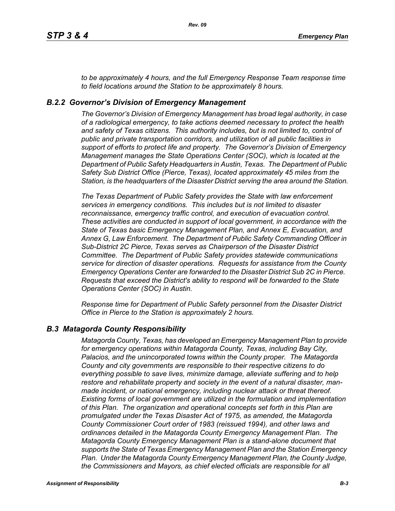*to be approximately 4 hours, and the full Emergency Response Team response time to field locations around the Station to be approximately 8 hours.*

### *B.2.2 Governor's Division of Emergency Management*

*The Governor's Division of Emergency Management has broad legal authority, in case of a radiological emergency, to take actions deemed necessary to protect the health and safety of Texas citizens. This authority includes, but is not limited to, control of public and private transportation corridors, and utilization of all public facilities in support of efforts to protect life and property. The Governor's Division of Emergency Management manages the State Operations Center (SOC), which is located at the Department of Public Safety Headquarters in Austin, Texas. The Department of Public Safety Sub District Office (Pierce, Texas), located approximately 45 miles from the Station, is the headquarters of the Disaster District serving the area around the Station.*

*The Texas Department of Public Safety provides the State with law enforcement services in emergency conditions. This includes but is not limited to disaster reconnaissance, emergency traffic control, and execution of evacuation control. These activities are conducted in support of local government, in accordance with the State of Texas basic Emergency Management Plan, and Annex E, Evacuation, and Annex G, Law Enforcement. The Department of Public Safety Commanding Officer in Sub-District 2C Pierce, Texas serves as Chairperson of the Disaster District Committee. The Department of Public Safety provides statewide communications service for direction of disaster operations. Requests for assistance from the County Emergency Operations Center are forwarded to the Disaster District Sub 2C in Pierce. Requests that exceed the District's ability to respond will be forwarded to the State Operations Center (SOC) in Austin.* 

*Response time for Department of Public Safety personnel from the Disaster District Office in Pierce to the Station is approximately 2 hours.*

#### *B.3 Matagorda County Responsibility*

*Matagorda County, Texas, has developed an Emergency Management Plan to provide for emergency operations within Matagorda County, Texas, including Bay City, Palacios, and the unincorporated towns within the County proper. The Matagorda County and city governments are responsible to their respective citizens to do everything possible to save lives, minimize damage, alleviate suffering and to help restore and rehabilitate property and society in the event of a natural disaster, manmade incident, or national emergency, including nuclear attack or threat thereof. Existing forms of local government are utilized in the formulation and implementation of this Plan. The organization and operational concepts set forth in this Plan are promulgated under the Texas Disaster Act of 1975, as amended, the Matagorda County Commissioner Court order of 1983 (reissued 1994), and other laws and ordinances detailed in the Matagorda County Emergency Management Plan. The Matagorda County Emergency Management Plan is a stand-alone document that supports the State of Texas Emergency Management Plan and the Station Emergency Plan. Under the Matagorda County Emergency Management Plan, the County Judge, the Commissioners and Mayors, as chief elected officials are responsible for all*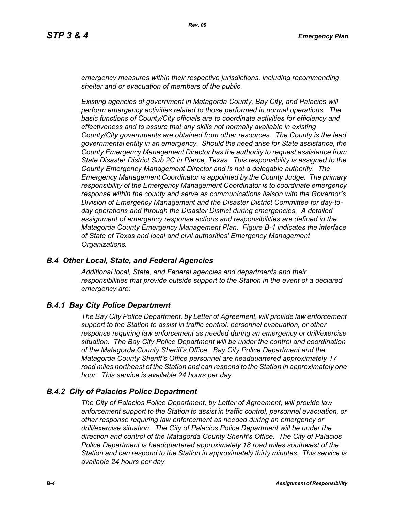*emergency measures within their respective jurisdictions, including recommending shelter and or evacuation of members of the public.* 

*Existing agencies of government in Matagorda County, Bay City, and Palacios will perform emergency activities related to those performed in normal operations. The basic functions of County/City officials are to coordinate activities for efficiency and effectiveness and to assure that any skills not normally available in existing County/City governments are obtained from other resources. The County is the lead governmental entity in an emergency. Should the need arise for State assistance, the County Emergency Management Director has the authority to request assistance from State Disaster District Sub 2C in Pierce, Texas. This responsibility is assigned to the County Emergency Management Director and is not a delegable authority. The Emergency Management Coordinator is appointed by the County Judge. The primary responsibility of the Emergency Management Coordinator is to coordinate emergency response within the county and serve as communications liaison with the Governor's Division of Emergency Management and the Disaster District Committee for day-today operations and through the Disaster District during emergencies. A detailed assignment of emergency response actions and responsibilities are defined in the Matagorda County Emergency Management Plan. Figure B-1 indicates the interface of State of Texas and local and civil authorities' Emergency Management Organizations.*

#### *B.4 Other Local, State, and Federal Agencies*

*Additional local, State, and Federal agencies and departments and their responsibilities that provide outside support to the Station in the event of a declared emergency are:*

#### *B.4.1 Bay City Police Department*

*The Bay City Police Department, by Letter of Agreement, will provide law enforcement support to the Station to assist in traffic control, personnel evacuation, or other response requiring law enforcement as needed during an emergency or drill/exercise situation. The Bay City Police Department will be under the control and coordination of the Matagorda County Sheriff's Office. Bay City Police Department and the Matagorda County Sheriff's Office personnel are headquartered approximately 17 road miles northeast of the Station and can respond to the Station in approximately one hour. This service is available 24 hours per day.*

#### *B.4.2 City of Palacios Police Department*

*The City of Palacios Police Department, by Letter of Agreement, will provide law enforcement support to the Station to assist in traffic control, personnel evacuation, or other response requiring law enforcement as needed during an emergency or drill/exercise situation. The City of Palacios Police Department will be under the direction and control of the Matagorda County Sheriff's Office. The City of Palacios Police Department is headquartered approximately 18 road miles southwest of the Station and can respond to the Station in approximately thirty minutes. This service is available 24 hours per day.*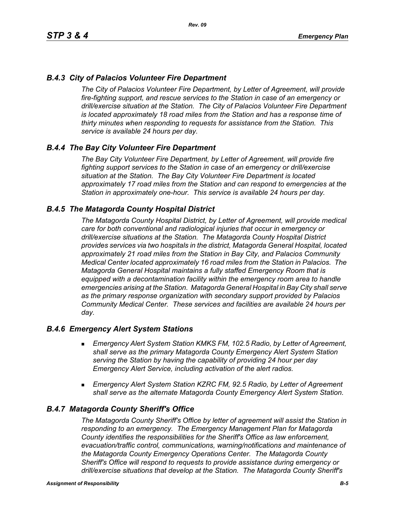### *B.4.3 City of Palacios Volunteer Fire Department*

*The City of Palacios Volunteer Fire Department, by Letter of Agreement, will provide fire-fighting support, and rescue services to the Station in case of an emergency or drill/exercise situation at the Station. The City of Palacios Volunteer Fire Department*  is located approximately 18 road miles from the Station and has a response time of *thirty minutes when responding to requests for assistance from the Station. This service is available 24 hours per day.*

### *B.4.4 The Bay City Volunteer Fire Department*

*The Bay City Volunteer Fire Department, by Letter of Agreement, will provide fire fighting support services to the Station in case of an emergency or drill/exercise situation at the Station. The Bay City Volunteer Fire Department is located approximately 17 road miles from the Station and can respond to emergencies at the Station in approximately one-hour. This service is available 24 hours per day.*

### *B.4.5 The Matagorda County Hospital District*

*The Matagorda County Hospital District, by Letter of Agreement, will provide medical care for both conventional and radiological injuries that occur in emergency or drill/exercise situations at the Station. The Matagorda County Hospital District provides services via two hospitals in the district, Matagorda General Hospital, located approximately 21 road miles from the Station in Bay City, and Palacios Community Medical Center located approximately 16 road miles from the Station in Palacios. The Matagorda General Hospital maintains a fully staffed Emergency Room that is equipped with a decontamination facility within the emergency room area to handle emergencies arising at the Station. Matagorda General Hospital in Bay City shall serve as the primary response organization with secondary support provided by Palacios Community Medical Center. These services and facilities are available 24 hours per day.*

#### *B.4.6 Emergency Alert System Stations*

- *Emergency Alert System Station KMKS FM, 102.5 Radio, by Letter of Agreement, shall serve as the primary Matagorda County Emergency Alert System Station serving the Station by having the capability of providing 24 hour per day Emergency Alert Service, including activation of the alert radios.*
- *Emergency Alert System Station KZRC FM, 92.5 Radio, by Letter of Agreement shall serve as the alternate Matagorda County Emergency Alert System Station.*

#### *B.4.7 Matagorda County Sheriff's Office*

*The Matagorda County Sheriff's Office by letter of agreement will assist the Station in responding to an emergency. The Emergency Management Plan for Matagorda County identifies the responsibilities for the Sheriff's Office as law enforcement, evacuation/traffic control, communications, warning/notifications and maintenance of the Matagorda County Emergency Operations Center. The Matagorda County Sheriff's Office will respond to requests to provide assistance during emergency or drill/exercise situations that develop at the Station. The Matagorda County Sheriff's*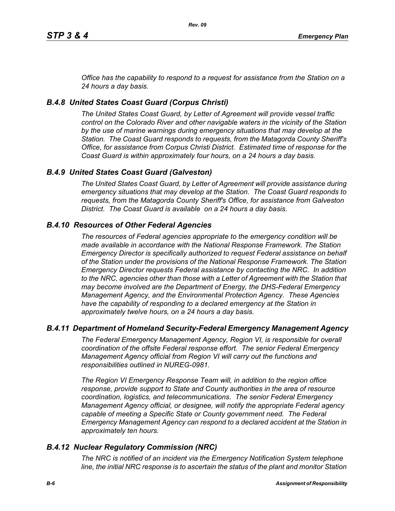*Office has the capability to respond to a request for assistance from the Station on a 24 hours a day basis.*

# *B.4.8 United States Coast Guard (Corpus Christi)*

*The United States Coast Guard, by Letter of Agreement will provide vessel traffic control on the Colorado River and other navigable waters in the vicinity of the Station by the use of marine warnings during emergency situations that may develop at the Station. The Coast Guard responds to requests, from the Matagorda County Sheriff's Office, for assistance from Corpus Christi District. Estimated time of response for the Coast Guard is within approximately four hours, on a 24 hours a day basis.*

# *B.4.9 United States Coast Guard (Galveston)*

*The United States Coast Guard, by Letter of Agreement will provide assistance during emergency situations that may develop at the Station. The Coast Guard responds to requests, from the Matagorda County Sheriff's Office, for assistance from Galveston District. The Coast Guard is available on a 24 hours a day basis.*

# *B.4.10 Resources of Other Federal Agencies*

*The resources of Federal agencies appropriate to the emergency condition will be made available in accordance with the National Response Framework. The Station Emergency Director is specifically authorized to request Federal assistance on behalf of the Station under the provisions of the National Response Framework. The Station Emergency Director requests Federal assistance by contacting the NRC. In addition*  to the NRC, agencies other than those with a Letter of Agreement with the Station that *may become involved are the Department of Energy, the DHS-Federal Emergency Management Agency, and the Environmental Protection Agency. These Agencies*  have the capability of responding to a declared emergency at the Station in *approximately twelve hours, on a 24 hours a day basis.*

### *B.4.11 Department of Homeland Security-Federal Emergency Management Agency*

*The Federal Emergency Management Agency, Region VI, is responsible for overall coordination of the offsite Federal response effort. The senior Federal Emergency Management Agency official from Region VI will carry out the functions and responsibilities outlined in NUREG-0981.*

*The Region VI Emergency Response Team will, in addition to the region office response, provide support to State and County authorities in the area of resource coordination, logistics, and telecommunications. The senior Federal Emergency Management Agency official, or designee, will notify the appropriate Federal agency*  capable of meeting a Specific State or County government need. The Federal *Emergency Management Agency can respond to a declared accident at the Station in approximately ten hours.*

### *B.4.12 Nuclear Regulatory Commission (NRC)*

*The NRC is notified of an incident via the Emergency Notification System telephone line, the initial NRC response is to ascertain the status of the plant and monitor Station*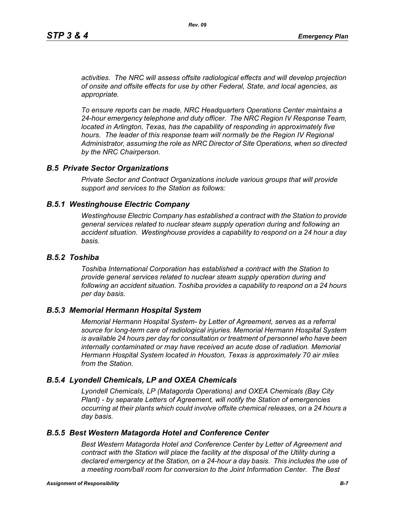*activities. The NRC will assess offsite radiological effects and will develop projection of onsite and offsite effects for use by other Federal, State, and local agencies, as appropriate.*

*To ensure reports can be made, NRC Headquarters Operations Center maintains a 24-hour emergency telephone and duty officer. The NRC Region IV Response Team, located in Arlington, Texas, has the capability of responding in approximately five* hours. The leader of this response team will normally be the Region IV Regional *Administrator, assuming the role as NRC Director of Site Operations, when so directed by the NRC Chairperson.*

#### *B.5 Private Sector Organizations*

*Private Sector and Contract Organizations include various groups that will provide support and services to the Station as follows:*

#### *B.5.1 Westinghouse Electric Company*

*Westinghouse Electric Company has established a contract with the Station to provide general services related to nuclear steam supply operation during and following an accident situation. Westinghouse provides a capability to respond on a 24 hour a day basis.* 

#### *B.5.2 Toshiba*

*Toshiba International Corporation has established a contract with the Station to provide general services related to nuclear steam supply operation during and following an accident situation. Toshiba provides a capability to respond on a 24 hours per day basis.*

#### *B.5.3 Memorial Hermann Hospital System*

*Memorial Hermann Hospital System- by Letter of Agreement, serves as a referral source for long-term care of radiological injuries. Memorial Hermann Hospital System is available 24 hours per day for consultation or treatment of personnel who have been*  internally contaminated or may have received an acute dose of radiation. Memorial *Hermann Hospital System located in Houston, Texas is approximately 70 air miles from the Station.*

#### *B.5.4 Lyondell Chemicals, LP and OXEA Chemicals*

*Lyondell Chemicals, LP (Matagorda Operations) and OXEA Chemicals (Bay City Plant) - by separate Letters of Agreement, will notify the Station of emergencies occurring at their plants which could involve offsite chemical releases, on a 24 hours a day basis.*

#### *B.5.5 Best Western Matagorda Hotel and Conference Center*

*Best Western Matagorda Hotel and Conference Center by Letter of Agreement and contract with the Station will place the facility at the disposal of the Utility during a declared emergency at the Station, on a 24-hour a day basis. This includes the use of a meeting room/ball room for conversion to the Joint Information Center. The Best*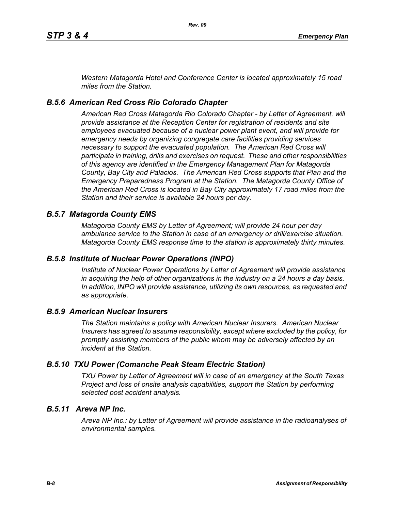*Western Matagorda Hotel and Conference Center is located approximately 15 road miles from the Station.*

# *B.5.6 American Red Cross Rio Colorado Chapter*

*American Red Cross Matagorda Rio Colorado Chapter - by Letter of Agreement, will provide assistance at the Reception Center for registration of residents and site employees evacuated because of a nuclear power plant event, and will provide for emergency needs by organizing congregate care facilities providing services necessary to support the evacuated population. The American Red Cross will participate in training, drills and exercises on request. These and other responsibilities of this agency are identified in the Emergency Management Plan for Matagorda County, Bay City and Palacios. The American Red Cross supports that Plan and the Emergency Preparedness Program at the Station. The Matagorda County Office of the American Red Cross is located in Bay City approximately 17 road miles from the Station and their service is available 24 hours per day.*

### *B.5.7 Matagorda County EMS*

*Matagorda County EMS by Letter of Agreement; will provide 24 hour per day ambulance service to the Station in case of an emergency or drill/exercise situation. Matagorda County EMS response time to the station is approximately thirty minutes.*

### *B.5.8 Institute of Nuclear Power Operations (INPO)*

*Institute of Nuclear Power Operations by Letter of Agreement will provide assistance in acquiring the help of other organizations in the industry on a 24 hours a day basis. In addition, INPO will provide assistance, utilizing its own resources, as requested and as appropriate.*

### *B.5.9 American Nuclear Insurers*

*The Station maintains a policy with American Nuclear Insurers. American Nuclear Insurers has agreed to assume responsibility, except where excluded by the policy, for promptly assisting members of the public whom may be adversely affected by an incident at the Station.*

# *B.5.10 TXU Power (Comanche Peak Steam Electric Station)*

*TXU Power by Letter of Agreement will in case of an emergency at the South Texas Project and loss of onsite analysis capabilities, support the Station by performing selected post accident analysis.*

### *B.5.11 Areva NP Inc.*

*Areva NP Inc.: by Letter of Agreement will provide assistance in the radioanalyses of environmental samples.*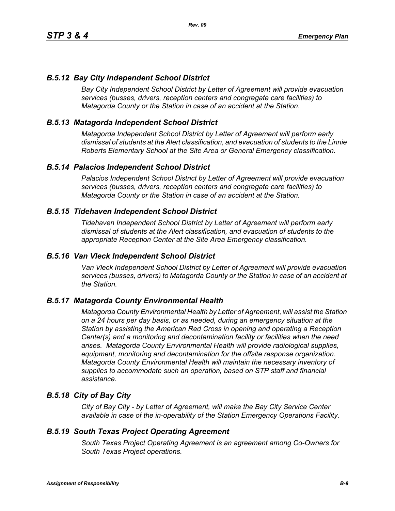### *B.5.12 Bay City Independent School District*

*Bay City Independent School District by Letter of Agreement will provide evacuation services (busses, drivers, reception centers and congregate care facilities) to Matagorda County or the Station in case of an accident at the Station.*

### *B.5.13 Matagorda Independent School District*

*Matagorda Independent School District by Letter of Agreement will perform early dismissal of students at the Alert classification, and evacuation of students to the Linnie Roberts Elementary School at the Site Area or General Emergency classification.*

#### *B.5.14 Palacios Independent School District*

*Palacios Independent School District by Letter of Agreement will provide evacuation services (busses, drivers, reception centers and congregate care facilities) to Matagorda County or the Station in case of an accident at the Station.*

#### *B.5.15 Tidehaven Independent School District*

*Tidehaven Independent School District by Letter of Agreement will perform early dismissal of students at the Alert classification, and evacuation of students to the appropriate Reception Center at the Site Area Emergency classification.*

#### *B.5.16 Van Vleck Independent School District*

*Van Vleck Independent School District by Letter of Agreement will provide evacuation services (busses, drivers) to Matagorda County or the Station in case of an accident at the Station.*

#### *B.5.17 Matagorda County Environmental Health*

*Matagorda County Environmental Health by Letter of Agreement, will assist the Station on a 24 hours per day basis, or as needed, during an emergency situation at the Station by assisting the American Red Cross in opening and operating a Reception Center(s) and a monitoring and decontamination facility or facilities when the need arises. Matagorda County Environmental Health will provide radiological supplies, equipment, monitoring and decontamination for the offsite response organization. Matagorda County Environmental Health will maintain the necessary inventory of supplies to accommodate such an operation, based on STP staff and financial assistance.*

### *B.5.18 City of Bay City*

*City of Bay City - by Letter of Agreement, will make the Bay City Service Center available in case of the in-operability of the Station Emergency Operations Facility.*

#### *B.5.19 South Texas Project Operating Agreement*

*South Texas Project Operating Agreement is an agreement among Co-Owners for South Texas Project operations.*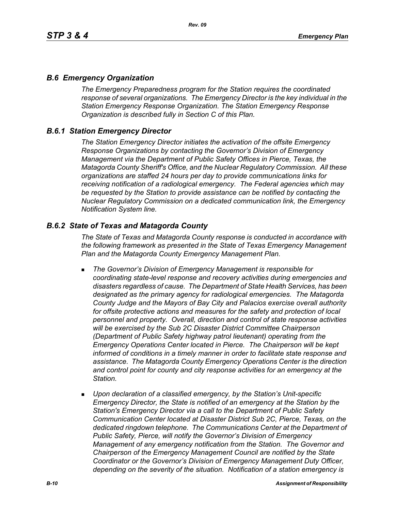### *B.6 Emergency Organization*

*The Emergency Preparedness program for the Station requires the coordinated response of several organizations. The Emergency Director is the key individual in the Station Emergency Response Organization. The Station Emergency Response Organization is described fully in Section C of this Plan.*

### *B.6.1 Station Emergency Director*

*The Station Emergency Director initiates the activation of the offsite Emergency Response Organizations by contacting the Governor's Division of Emergency Management via the Department of Public Safety Offices in Pierce, Texas, the Matagorda County Sheriff's Office, and the Nuclear Regulatory Commission. All these organizations are staffed 24 hours per day to provide communications links for receiving notification of a radiological emergency. The Federal agencies which may be requested by the Station to provide assistance can be notified by contacting the Nuclear Regulatory Commission on a dedicated communication link, the Emergency Notification System line.*

### *B.6.2 State of Texas and Matagorda County*

*The State of Texas and Matagorda County response is conducted in accordance with the following framework as presented in the State of Texas Emergency Management Plan and the Matagorda County Emergency Management Plan.*

- *The Governor's Division of Emergency Management is responsible for coordinating state-level response and recovery activities during emergencies and disasters regardless of cause. The Department of State Health Services, has been designated as the primary agency for radiological emergencies. The Matagorda County Judge and the Mayors of Bay City and Palacios exercise overall authority*  for offsite protective actions and measures for the safety and protection of local *personnel and property. Overall, direction and control of state response activities will be exercised by the Sub 2C Disaster District Committee Chairperson (Department of Public Safety highway patrol lieutenant) operating from the Emergency Operations Center located in Pierce. The Chairperson will be kept informed of conditions in a timely manner in order to facilitate state response and assistance. The Matagorda County Emergency Operations Center is the direction and control point for county and city response activities for an emergency at the Station.*
- *Upon declaration of a classified emergency, by the Station's Unit-specific Emergency Director, the State is notified of an emergency at the Station by the Station's Emergency Director via a call to the Department of Public Safety Communication Center located at Disaster District Sub 2C, Pierce, Texas, on the dedicated ringdown telephone. The Communications Center at the Department of Public Safety, Pierce, will notify the Governor's Division of Emergency Management of any emergency notification from the Station. The Governor and Chairperson of the Emergency Management Council are notified by the State Coordinator or the Governor's Division of Emergency Management Duty Officer, depending on the severity of the situation. Notification of a station emergency is*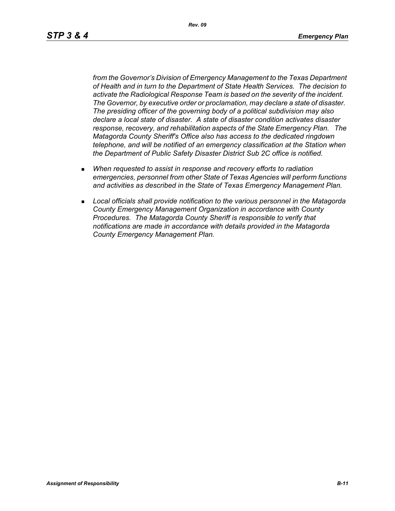*Rev. 09*

*from the Governor's Division of Emergency Management to the Texas Department of Health and in turn to the Department of State Health Services. The decision to activate the Radiological Response Team is based on the severity of the incident. The Governor, by executive order or proclamation, may declare a state of disaster. The presiding officer of the governing body of a political subdivision may also declare a local state of disaster. A state of disaster condition activates disaster response, recovery, and rehabilitation aspects of the State Emergency Plan. The Matagorda County Sheriff's Office also has access to the dedicated ringdown telephone, and will be notified of an emergency classification at the Station when the Department of Public Safety Disaster District Sub 2C office is notified.*

- *When requested to assist in response and recovery efforts to radiation emergencies, personnel from other State of Texas Agencies will perform functions and activities as described in the State of Texas Emergency Management Plan.*
- *Local officials shall provide notification to the various personnel in the Matagorda County Emergency Management Organization in accordance with County Procedures. The Matagorda County Sheriff is responsible to verify that notifications are made in accordance with details provided in the Matagorda County Emergency Management Plan.*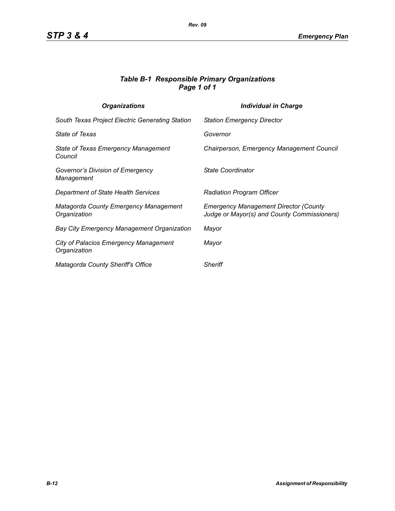### *Table B-1 Responsible Primary Organizations Page 1 of 1*

| <b>Organizations</b>                                         | <b>Individual in Charge</b>                                                                 |
|--------------------------------------------------------------|---------------------------------------------------------------------------------------------|
| South Texas Project Electric Generating Station              | <b>Station Emergency Director</b>                                                           |
| <b>State of Texas</b>                                        | Governor                                                                                    |
| State of Texas Emergency Management<br>Council               | Chairperson, Emergency Management Council                                                   |
| Governor's Division of Emergency<br>Management               | State Coordinator                                                                           |
| Department of State Health Services                          | <b>Radiation Program Officer</b>                                                            |
| Matagorda County Emergency Management<br>Organization        | <b>Emergency Management Director (County</b><br>Judge or Mayor(s) and County Commissioners) |
| <b>Bay City Emergency Management Organization</b>            | Mayor                                                                                       |
| <b>City of Palacios Emergency Management</b><br>Organization | Mayor                                                                                       |
| Matagorda County Sheriff's Office                            | <b>Sheriff</b>                                                                              |